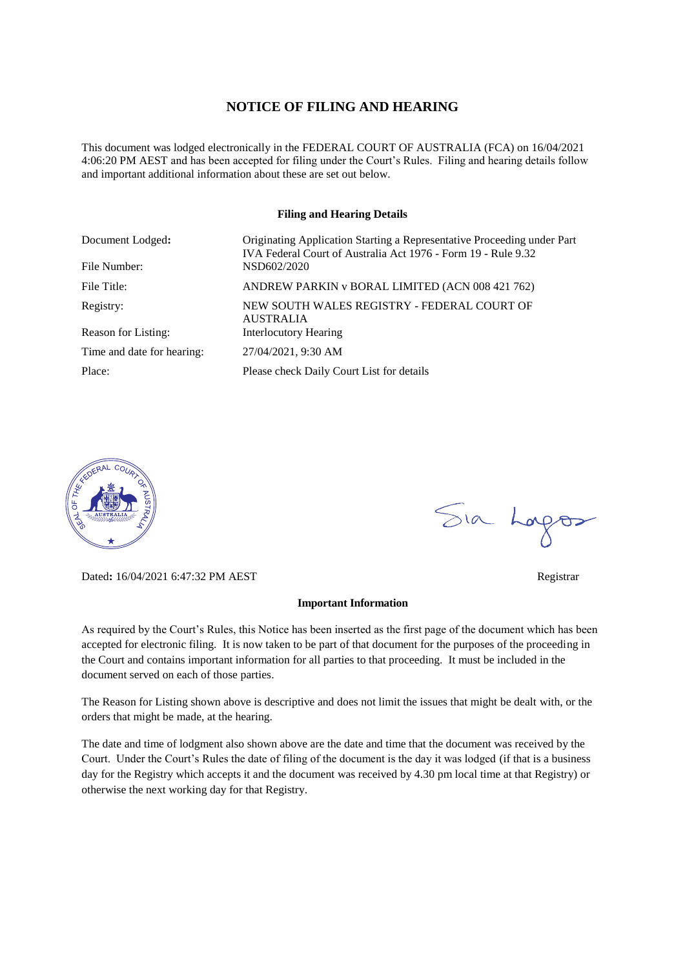#### **NOTICE OF FILING AND HEARING**

This document was lodged electronically in the FEDERAL COURT OF AUSTRALIA (FCA) on 16/04/2021 4:06:20 PM AEST and has been accepted for filing under the Court's Rules. Filing and hearing details follow and important additional information about these are set out below.

#### **Filing and Hearing Details**

| Document Lodged:<br>File Number: | Originating Application Starting a Representative Proceeding under Part<br>IVA Federal Court of Australia Act 1976 - Form 19 - Rule 9.32<br>NSD602/2020 |
|----------------------------------|---------------------------------------------------------------------------------------------------------------------------------------------------------|
|                                  |                                                                                                                                                         |
| File Title:                      | ANDREW PARKIN v BORAL LIMITED (ACN 008 421 762)                                                                                                         |
| Registry:                        | NEW SOUTH WALES REGISTRY - FEDERAL COURT OF<br><b>AUSTRALIA</b>                                                                                         |
| Reason for Listing:              | <b>Interlocutory Hearing</b>                                                                                                                            |
| Time and date for hearing:       | 27/04/2021, 9:30 AM                                                                                                                                     |
| Place:                           | Please check Daily Court List for details                                                                                                               |



Dated**:** 16/04/2021 6:47:32 PM AEST Registrar

#### **Important Information**

As required by the Court's Rules, this Notice has been inserted as the first page of the document which has been accepted for electronic filing. It is now taken to be part of that document for the purposes of the proceeding in the Court and contains important information for all parties to that proceeding. It must be included in the document served on each of those parties.

The Reason for Listing shown above is descriptive and does not limit the issues that might be dealt with, or the orders that might be made, at the hearing.

The date and time of lodgment also shown above are the date and time that the document was received by the Court. Under the Court's Rules the date of filing of the document is the day it was lodged (if that is a business day for the Registry which accepts it and the document was received by 4.30 pm local time at that Registry) or otherwise the next working day for that Registry.

Sia Logos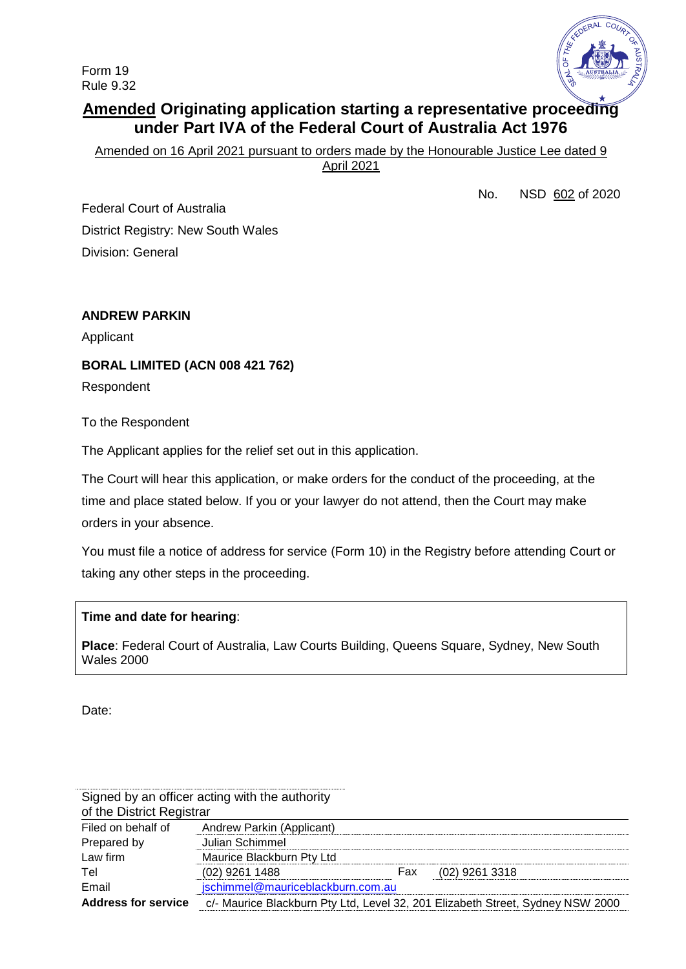Form 19 Rule 9.32



# **Amended Originating application starting a representative proceeding under Part IVA of the Federal Court of Australia Act 1976**

Amended on 16 April 2021 pursuant to orders made by the Honourable Justice Lee dated 9

April 2021

No. NSD 602 of 2020

Federal Court of Australia District Registry: New South Wales Division: General

# **ANDREW PARKIN**

Applicant

**BORAL LIMITED (ACN 008 421 762)**

Respondent

To the Respondent

The Applicant applies for the relief set out in this application.

The Court will hear this application, or make orders for the conduct of the proceeding, at the time and place stated below. If you or your lawyer do not attend, then the Court may make orders in your absence.

You must file a notice of address for service (Form 10) in the Registry before attending Court or taking any other steps in the proceeding.

### **Time and date for hearing**:

**Place**: Federal Court of Australia, Law Courts Building, Queens Square, Sydney, New South Wales 2000

Date:

|                            | Signed by an officer acting with the authority |     |                                                                                |
|----------------------------|------------------------------------------------|-----|--------------------------------------------------------------------------------|
| of the District Registrar  |                                                |     |                                                                                |
| Filed on behalf of         | Andrew Parkin (Applicant)                      |     |                                                                                |
| Prepared by                | Julian Schimmel                                |     |                                                                                |
| Law firm                   | Maurice Blackburn Pty Ltd                      |     |                                                                                |
| Tel                        | $(02)$ 9261 1488                               | Fax | (02) 9261 3318                                                                 |
| Email                      | jschimmel@mauriceblackburn.com.au              |     |                                                                                |
| <b>Address for service</b> |                                                |     | c/- Maurice Blackburn Pty Ltd, Level 32, 201 Elizabeth Street, Sydney NSW 2000 |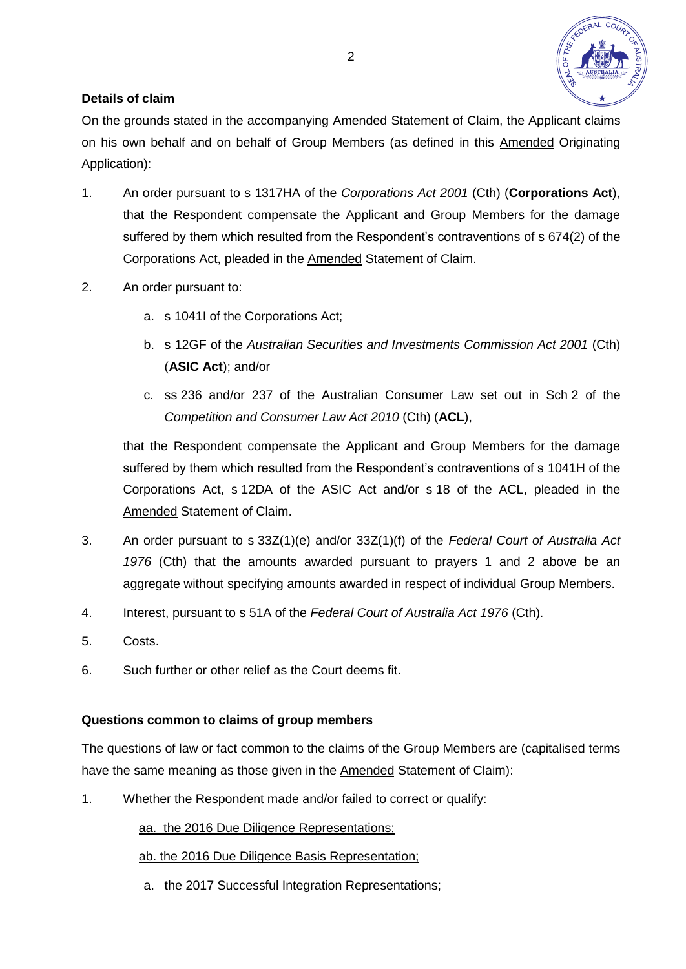

# **Details of claim**

On the grounds stated in the accompanying Amended Statement of Claim, the Applicant claims on his own behalf and on behalf of Group Members (as defined in this Amended Originating Application):

- 1. An order pursuant to s 1317HA of the *Corporations Act 2001* (Cth) (**Corporations Act**), that the Respondent compensate the Applicant and Group Members for the damage suffered by them which resulted from the Respondent's contraventions of s 674(2) of the Corporations Act, pleaded in the Amended Statement of Claim.
- 2. An order pursuant to:
	- a. s 1041I of the Corporations Act;
	- b. s 12GF of the *Australian Securities and Investments Commission Act 2001* (Cth) (**ASIC Act**); and/or
	- c. ss 236 and/or 237 of the Australian Consumer Law set out in Sch 2 of the *Competition and Consumer Law Act 2010* (Cth) (**ACL**),

that the Respondent compensate the Applicant and Group Members for the damage suffered by them which resulted from the Respondent's contraventions of s 1041H of the Corporations Act, s 12DA of the ASIC Act and/or s 18 of the ACL, pleaded in the Amended Statement of Claim.

- 3. An order pursuant to s 33Z(1)(e) and/or 33Z(1)(f) of the *Federal Court of Australia Act 1976* (Cth) that the amounts awarded pursuant to prayers 1 and 2 above be an aggregate without specifying amounts awarded in respect of individual Group Members.
- 4. Interest, pursuant to s 51A of the *Federal Court of Australia Act 1976* (Cth).
- 5. Costs.
- 6. Such further or other relief as the Court deems fit.

### **Questions common to claims of group members**

The questions of law or fact common to the claims of the Group Members are (capitalised terms have the same meaning as those given in the Amended Statement of Claim):

1. Whether the Respondent made and/or failed to correct or qualify:

aa. the 2016 Due Diligence Representations;

### ab. the 2016 Due Diligence Basis Representation;

a. the 2017 Successful Integration Representations;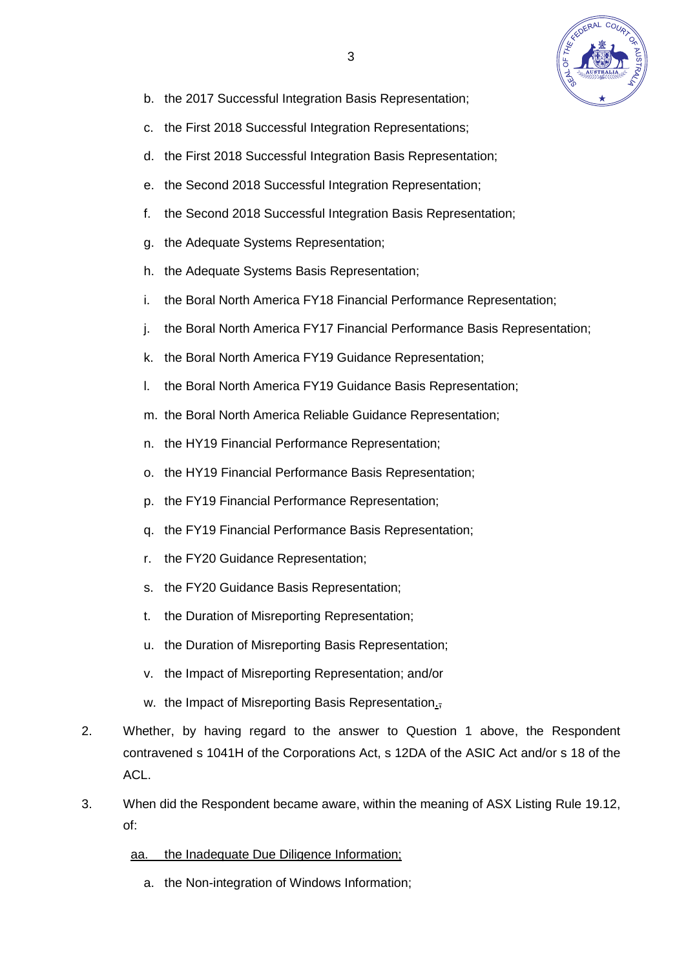

- b. the 2017 Successful Integration Basis Representation;
- c. the First 2018 Successful Integration Representations;
- d. the First 2018 Successful Integration Basis Representation;
- e. the Second 2018 Successful Integration Representation;
- f. the Second 2018 Successful Integration Basis Representation;
- g. the Adequate Systems Representation;
- h. the Adequate Systems Basis Representation;
- i. the Boral North America FY18 Financial Performance Representation;
- j. the Boral North America FY17 Financial Performance Basis Representation;
- k. the Boral North America FY19 Guidance Representation;
- l. the Boral North America FY19 Guidance Basis Representation;
- m. the Boral North America Reliable Guidance Representation;
- n. the HY19 Financial Performance Representation;
- o. the HY19 Financial Performance Basis Representation;
- p. the FY19 Financial Performance Representation;
- q. the FY19 Financial Performance Basis Representation;
- r. the FY20 Guidance Representation;
- s. the FY20 Guidance Basis Representation;
- t. the Duration of Misreporting Representation;
- u. the Duration of Misreporting Basis Representation;
- v. the Impact of Misreporting Representation; and/or
- w. the Impact of Misreporting Basis Representation.
- 2. Whether, by having regard to the answer to Question 1 above, the Respondent contravened s 1041H of the Corporations Act, s 12DA of the ASIC Act and/or s 18 of the ACL.
- 3. When did the Respondent became aware, within the meaning of ASX Listing Rule 19.12, of:
	- aa. the Inadequate Due Diligence Information;
		- a. the Non-integration of Windows Information;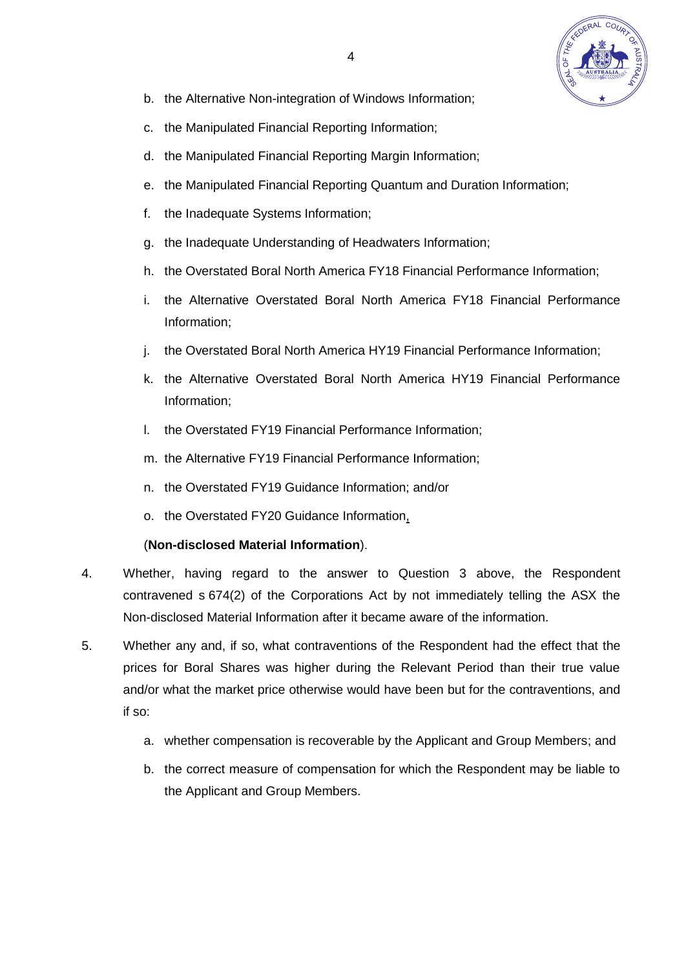

- b. the Alternative Non-integration of Windows Information;
- c. the Manipulated Financial Reporting Information;
- d. the Manipulated Financial Reporting Margin Information;
- e. the Manipulated Financial Reporting Quantum and Duration Information:
- f. the Inadequate Systems Information;
- g. the Inadequate Understanding of Headwaters Information;
- h. the Overstated Boral North America FY18 Financial Performance Information;
- i. the Alternative Overstated Boral North America FY18 Financial Performance Information;
- j. the Overstated Boral North America HY19 Financial Performance Information;
- k. the Alternative Overstated Boral North America HY19 Financial Performance Information;
- l. the Overstated FY19 Financial Performance Information;
- m. the Alternative FY19 Financial Performance Information;
- n. the Overstated FY19 Guidance Information; and/or
- o. the Overstated FY20 Guidance Information,

# (**Non-disclosed Material Information**).

- 4. Whether, having regard to the answer to Question 3 above, the Respondent contravened s 674(2) of the Corporations Act by not immediately telling the ASX the Non-disclosed Material Information after it became aware of the information.
- 5. Whether any and, if so, what contraventions of the Respondent had the effect that the prices for Boral Shares was higher during the Relevant Period than their true value and/or what the market price otherwise would have been but for the contraventions, and if so:
	- a. whether compensation is recoverable by the Applicant and Group Members; and
	- b. the correct measure of compensation for which the Respondent may be liable to the Applicant and Group Members.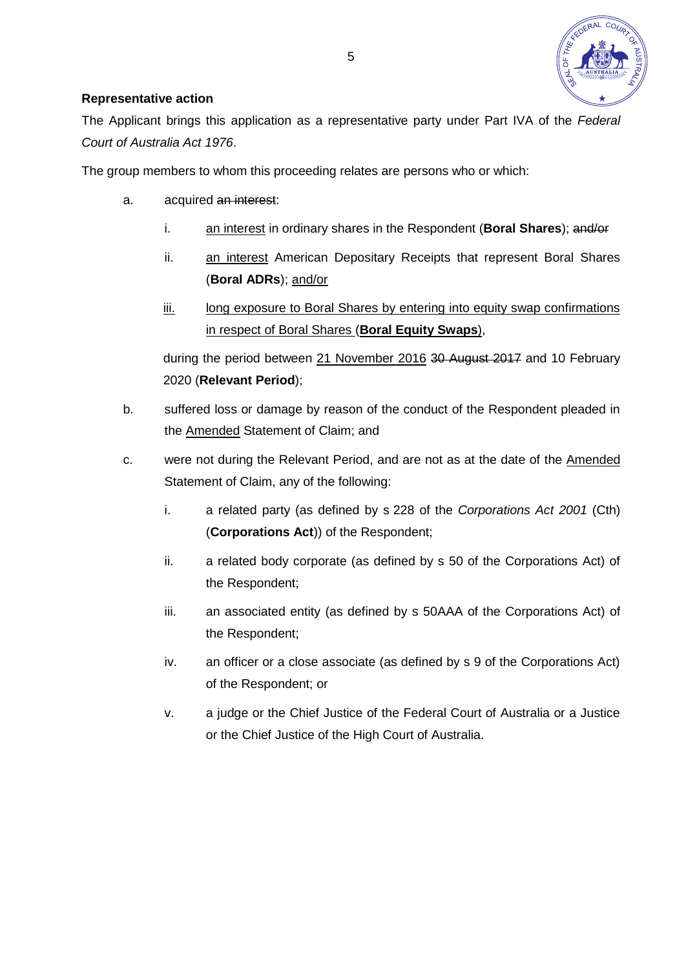

## **Representative action**

The Applicant brings this application as a representative party under Part IVA of the *Federal Court of Australia Act 1976*.

The group members to whom this proceeding relates are persons who or which:

- a. acquired an interest:
	- i. an interest in ordinary shares in the Respondent (**Boral Shares**); and/or
	- ii. an interest American Depositary Receipts that represent Boral Shares (**Boral ADRs**); and/or
	- iii. long exposure to Boral Shares by entering into equity swap confirmations in respect of Boral Shares (**Boral Equity Swaps**),

during the period between 21 November 2016 30 August 2017 and 10 February 2020 (**Relevant Period**);

- b. suffered loss or damage by reason of the conduct of the Respondent pleaded in the Amended Statement of Claim; and
- c. were not during the Relevant Period, and are not as at the date of the Amended Statement of Claim, any of the following:
	- i. a related party (as defined by s 228 of the *Corporations Act 2001* (Cth) (**Corporations Act**)) of the Respondent;
	- ii. a related body corporate (as defined by s 50 of the Corporations Act) of the Respondent;
	- iii. an associated entity (as defined by s 50AAA of the Corporations Act) of the Respondent;
	- iv. an officer or a close associate (as defined by s 9 of the Corporations Act) of the Respondent; or
	- v. a judge or the Chief Justice of the Federal Court of Australia or a Justice or the Chief Justice of the High Court of Australia.